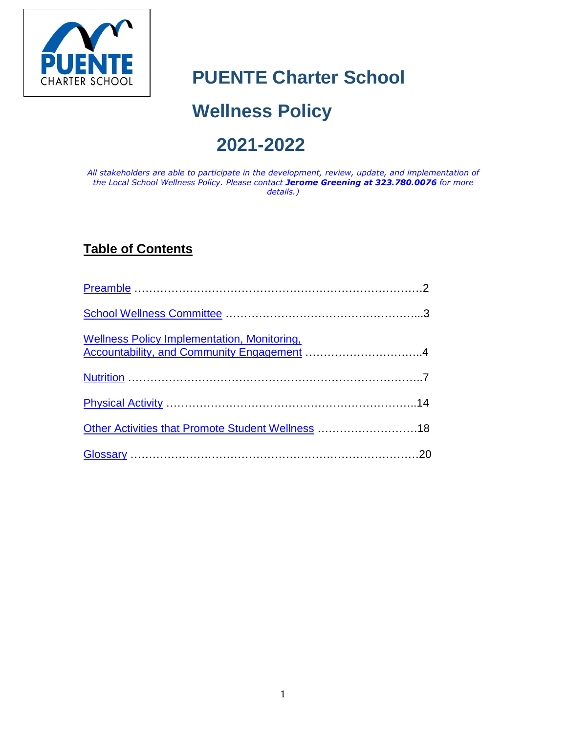

# **PUENTE Charter School**

# **Wellness Policy**

# **2021-2022**

*All stakeholders are able to participate in the development, review, update, and implementation of the Local School Wellness Policy. Please contact Jerome Greening at 323.780.0076 for more details.)*

# **Table of Contents**

| <b>Wellness Policy Implementation, Monitoring,</b> |  |
|----------------------------------------------------|--|
|                                                    |  |
|                                                    |  |
| Other Activities that Promote Student Wellness 18  |  |
|                                                    |  |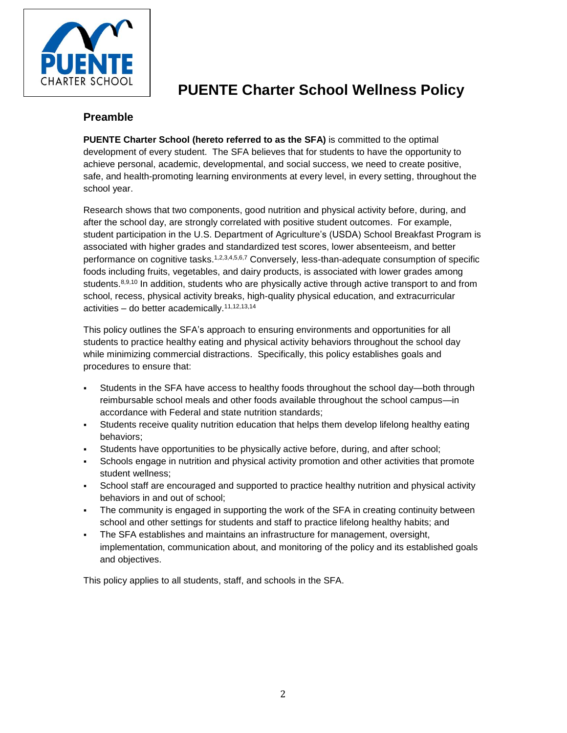

# **PUENTE Charter School Wellness Policy**

### <span id="page-1-0"></span>**Preamble**

**PUENTE Charter School (hereto referred to as the SFA)** is committed to the optimal development of every student. The SFA believes that for students to have the opportunity to achieve personal, academic, developmental, and social success, we need to create positive, safe, and health-promoting learning environments at every level, in every setting, throughout the school year.

Research shows that two components, good nutrition and physical activity before, during, and after the school day, are strongly correlated with positive student outcomes. For example, student participation in the U.S. Department of Agriculture's (USDA) School Breakfast Program is associated with higher grades and standardized test scores, lower absenteeism, and better performance on cognitive tasks.<sup>1,2,3,4,5,6,7</sup> Conversely, less-than-adequate consumption of specific foods including fruits, vegetables, and dairy products, is associated with lower grades among students.<sup>8,9,10</sup> In addition, students who are physically active through active transport to and from school, recess, physical activity breaks, high-quality physical education, and extracurricular activities – do better academically.11,12,13,14

This policy outlines the SFA's approach to ensuring environments and opportunities for all students to practice healthy eating and physical activity behaviors throughout the school day while minimizing commercial distractions. Specifically, this policy establishes goals and procedures to ensure that:

- Students in the SFA have access to healthy foods throughout the school day—both through reimbursable school meals and other foods available throughout the school campus—in accordance with Federal and state nutrition standards;
- Students receive quality nutrition education that helps them develop lifelong healthy eating behaviors;
- Students have opportunities to be physically active before, during, and after school;
- Schools engage in nutrition and physical activity promotion and other activities that promote student wellness;
- School staff are encouraged and supported to practice healthy nutrition and physical activity behaviors in and out of school;
- The community is engaged in supporting the work of the SFA in creating continuity between school and other settings for students and staff to practice lifelong healthy habits; and
- The SFA establishes and maintains an infrastructure for management, oversight, implementation, communication about, and monitoring of the policy and its established goals and objectives.

This policy applies to all students, staff, and schools in the SFA.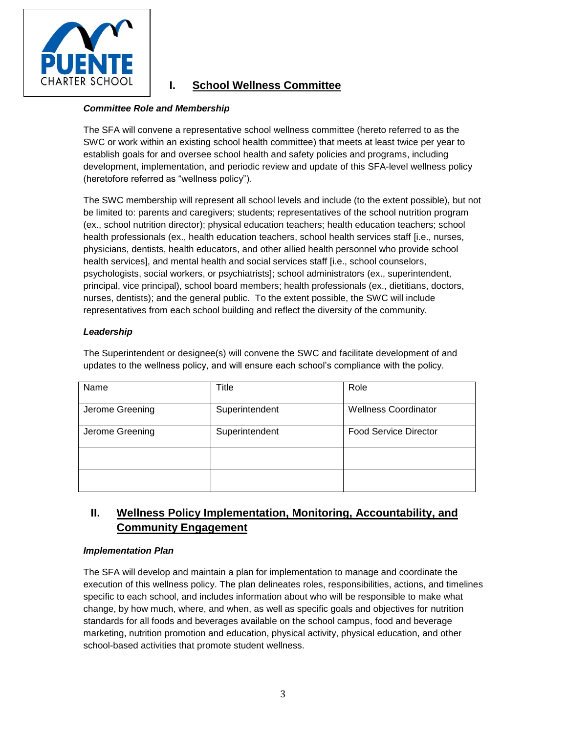

# <span id="page-2-0"></span>**I. School Wellness Committee**

#### *Committee Role and Membership*

The SFA will convene a representative school wellness committee (hereto referred to as the SWC or work within an existing school health committee) that meets at least twice per year to establish goals for and oversee school health and safety policies and programs, including development, implementation, and periodic review and update of this SFA-level wellness policy (heretofore referred as "wellness policy").

The SWC membership will represent all school levels and include (to the extent possible), but not be limited to: parents and caregivers; students; representatives of the school nutrition program (ex., school nutrition director); physical education teachers; health education teachers; school health professionals (ex., health education teachers, school health services staff [i.e., nurses, physicians, dentists, health educators, and other allied health personnel who provide school health services], and mental health and social services staff [i.e., school counselors, psychologists, social workers, or psychiatrists]; school administrators (ex., superintendent, principal, vice principal), school board members; health professionals (ex., dietitians, doctors, nurses, dentists); and the general public. To the extent possible, the SWC will include representatives from each school building and reflect the diversity of the community.

#### *Leadership*

The Superintendent or designee(s) will convene the SWC and facilitate development of and updates to the wellness policy, and will ensure each school's compliance with the policy.

| Name            | Title          | Role                         |
|-----------------|----------------|------------------------------|
| Jerome Greening | Superintendent | <b>Wellness Coordinator</b>  |
| Jerome Greening | Superintendent | <b>Food Service Director</b> |
|                 |                |                              |
|                 |                |                              |

## <span id="page-2-1"></span>**II. Wellness Policy Implementation, Monitoring, Accountability, and Community Engagement**

#### *Implementation Plan*

The SFA will develop and maintain a plan for implementation to manage and coordinate the execution of this wellness policy. The plan delineates roles, responsibilities, actions, and timelines specific to each school, and includes information about who will be responsible to make what change, by how much, where, and when, as well as specific goals and objectives for nutrition standards for all foods and beverages available on the school campus, food and beverage marketing, nutrition promotion and education, physical activity, physical education, and other school-based activities that promote student wellness.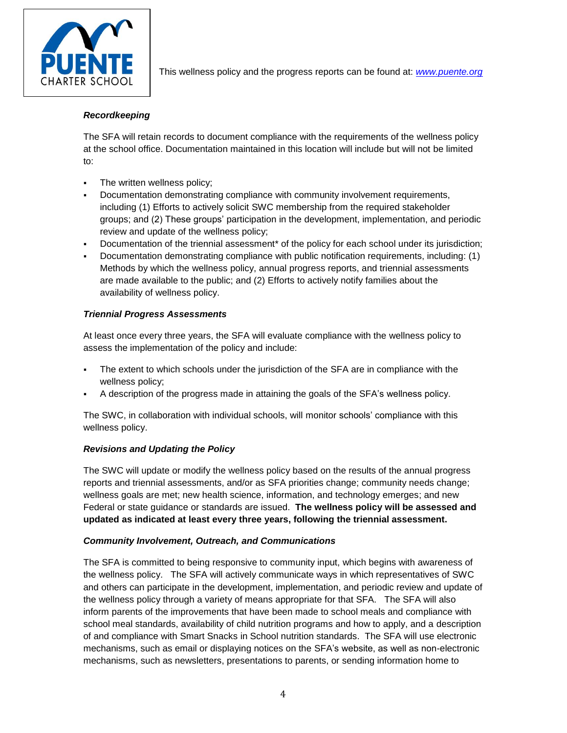

This wellness policy and the progress reports can be found at: *[www.puente.org](http://www.puente.org/)*

#### *Recordkeeping*

The SFA will retain records to document compliance with the requirements of the wellness policy at the school office. Documentation maintained in this location will include but will not be limited to:

- The written wellness policy;
- Documentation demonstrating compliance with community involvement requirements, including (1) Efforts to actively solicit SWC membership from the required stakeholder groups; and (2) These groups' participation in the development, implementation, and periodic review and update of the wellness policy;
- Documentation of the triennial assessment\* of the policy for each school under its jurisdiction;
- Documentation demonstrating compliance with public notification requirements, including: (1) Methods by which the wellness policy, annual progress reports, and triennial assessments are made available to the public; and (2) Efforts to actively notify families about the availability of wellness policy.

#### *Triennial Progress Assessments*

At least once every three years, the SFA will evaluate compliance with the wellness policy to assess the implementation of the policy and include:

- The extent to which schools under the jurisdiction of the SFA are in compliance with the wellness policy;
- A description of the progress made in attaining the goals of the SFA's wellness policy.

The SWC, in collaboration with individual schools, will monitor schools' compliance with this wellness policy.

#### *Revisions and Updating the Policy*

The SWC will update or modify the wellness policy based on the results of the annual progress reports and triennial assessments, and/or as SFA priorities change; community needs change; wellness goals are met; new health science, information, and technology emerges; and new Federal or state guidance or standards are issued. **The wellness policy will be assessed and updated as indicated at least every three years, following the triennial assessment.**

#### *Community Involvement, Outreach, and Communications*

The SFA is committed to being responsive to community input, which begins with awareness of the wellness policy. The SFA will actively communicate ways in which representatives of SWC and others can participate in the development, implementation, and periodic review and update of the wellness policy through a variety of means appropriate for that SFA. The SFA will also inform parents of the improvements that have been made to school meals and compliance with school meal standards, availability of child nutrition programs and how to apply, and a description of and compliance with Smart Snacks in School nutrition standards. The SFA will use electronic mechanisms, such as email or displaying notices on the SFA's website, as well as non-electronic mechanisms, such as newsletters, presentations to parents, or sending information home to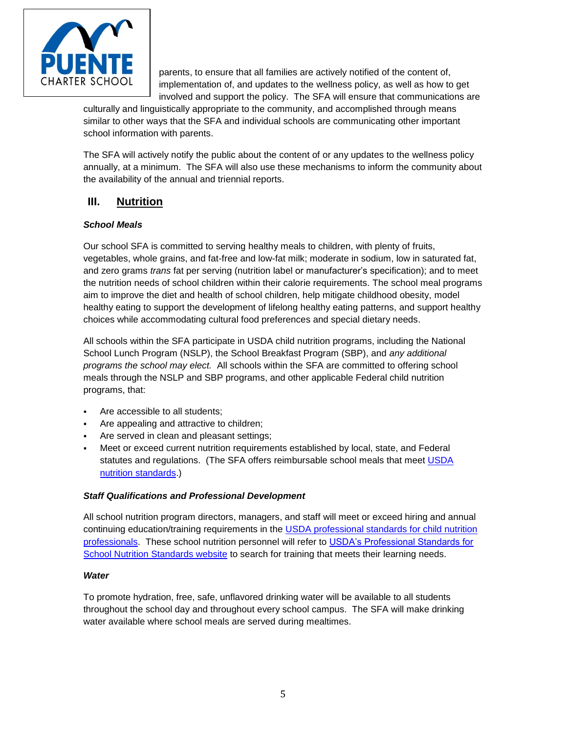

parents, to ensure that all families are actively notified of the content of, implementation of, and updates to the wellness policy, as well as how to get involved and support the policy. The SFA will ensure that communications are

culturally and linguistically appropriate to the community, and accomplished through means similar to other ways that the SFA and individual schools are communicating other important school information with parents.

The SFA will actively notify the public about the content of or any updates to the wellness policy annually, at a minimum. The SFA will also use these mechanisms to inform the community about the availability of the annual and triennial reports.

## <span id="page-4-0"></span>**III. Nutrition**

#### *School Meals*

Our school SFA is committed to serving healthy meals to children, with plenty of fruits, vegetables, whole grains, and fat-free and low-fat milk; moderate in sodium, low in saturated fat, and zero grams *trans* fat per serving (nutrition label or manufacturer's specification); and to meet the nutrition needs of school children within their calorie requirements. The school meal programs aim to improve the diet and health of school children, help mitigate childhood obesity, model healthy eating to support the development of lifelong healthy eating patterns, and support healthy choices while accommodating cultural food preferences and special dietary needs.

All schools within the SFA participate in USDA child nutrition programs, including the National School Lunch Program (NSLP), the School Breakfast Program (SBP), and *any additional programs the school may elect.* All schools within the SFA are committed to offering school meals through the NSLP and SBP programs, and other applicable Federal child nutrition programs, that:

- Are accessible to all students;
- Are appealing and attractive to children;
- Are served in clean and pleasant settings;
- Meet or exceed current nutrition requirements established by local, state, and Federal statutes and regulations. (The SFA offers reimbursable school meals that meet [USDA](http://www.fns.usda.gov/school-meals/nutrition-standards-school-meals)  [nutrition standards.\)](http://www.fns.usda.gov/school-meals/nutrition-standards-school-meals)

#### *Staff Qualifications and Professional Development*

All school nutrition program directors, managers, and staff will meet or exceed hiring and annual continuing education/training requirements in the USDA professional standards for child nutrition [professionals.](http://www.fns.usda.gov/sites/default/files/CN2014-0130.pdf) These school nutrition personnel will refer to [USDA's Professional Standards for](http://professionalstandards.nal.usda.gov/)  [School Nutrition Standards website](http://professionalstandards.nal.usda.gov/) to search for training that meets their learning needs.

#### *Water*

To promote hydration, free, safe, unflavored drinking water will be available to all students throughout the school day and throughout every school campus. The SFA will make drinking water available where school meals are served during mealtimes.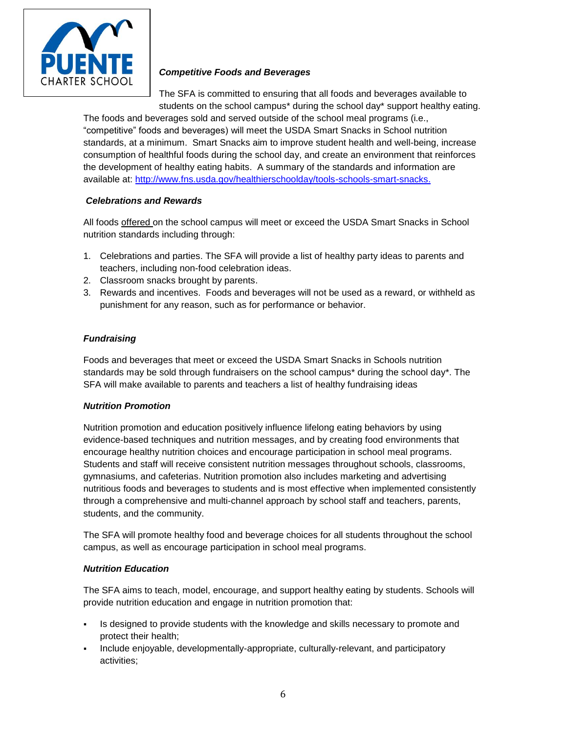

#### *Competitive Foods and Beverages*

The SFA is committed to ensuring that all foods and beverages available to students on the school campus\* during the school day\* support healthy eating.

The foods and beverages sold and served outside of the school meal programs (i.e., "competitive" foods and beverages) will meet the USDA Smart Snacks in School nutrition standards, at a minimum. Smart Snacks aim to improve student health and well-being, increase consumption of healthful foods during the school day, and create an environment that reinforces the development of healthy eating habits. A summary of the standards and information are available at: [http://www.fns.usda.gov/healthierschoolday/tools-schools-smart-snacks.](http://www.fns.usda.gov/healthierschoolday/tools-schools-smart-snacks)

#### *Celebrations and Rewards*

All foods offered on the school campus will meet or exceed the USDA Smart Snacks in School nutrition standards including through:

- 1. Celebrations and parties. The SFA will provide a list of healthy party ideas to parents and teachers, including non-food celebration ideas.
- 2. Classroom snacks brought by parents.
- 3. Rewards and incentives. Foods and beverages will not be used as a reward, or withheld as punishment for any reason, such as for performance or behavior.

#### *Fundraising*

Foods and beverages that meet or exceed the USDA Smart Snacks in Schools nutrition standards may be sold through fundraisers on the school campus\* during the school day\*. The SFA will make available to parents and teachers a list of healthy fundraising ideas

#### *Nutrition Promotion*

Nutrition promotion and education positively influence lifelong eating behaviors by using evidence-based techniques and nutrition messages, and by creating food environments that encourage healthy nutrition choices and encourage participation in school meal programs. Students and staff will receive consistent nutrition messages throughout schools, classrooms, gymnasiums, and cafeterias. Nutrition promotion also includes marketing and advertising nutritious foods and beverages to students and is most effective when implemented consistently through a comprehensive and multi-channel approach by school staff and teachers, parents, students, and the community.

The SFA will promote healthy food and beverage choices for all students throughout the school campus, as well as encourage participation in school meal programs.

#### *Nutrition Education*

The SFA aims to teach, model, encourage, and support healthy eating by students. Schools will provide nutrition education and engage in nutrition promotion that:

- Is designed to provide students with the knowledge and skills necessary to promote and protect their health;
- Include enjoyable, developmentally-appropriate, culturally-relevant, and participatory activities;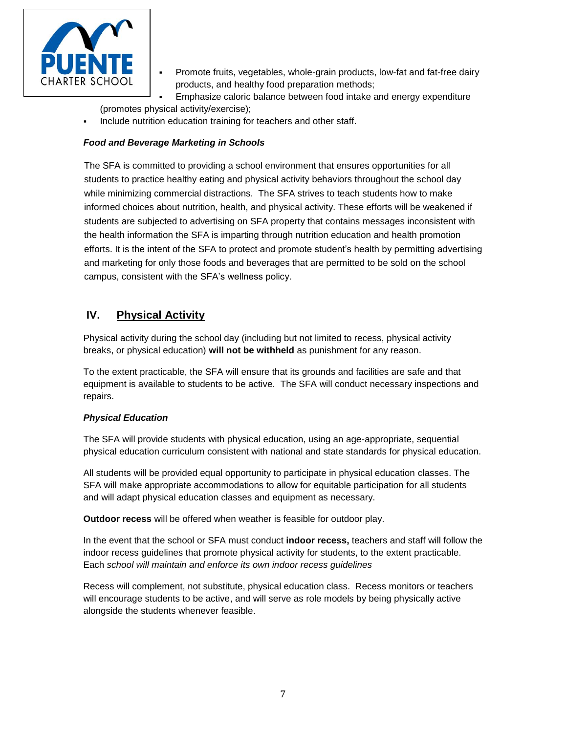

 Promote fruits, vegetables, whole-grain products, low-fat and fat-free dairy products, and healthy food preparation methods;

 Emphasize caloric balance between food intake and energy expenditure (promotes physical activity/exercise);

Include nutrition education training for teachers and other staff.

#### *Food and Beverage Marketing in Schools*

The SFA is committed to providing a school environment that ensures opportunities for all students to practice healthy eating and physical activity behaviors throughout the school day while minimizing commercial distractions. The SFA strives to teach students how to make informed choices about nutrition, health, and physical activity. These efforts will be weakened if students are subjected to advertising on SFA property that contains messages inconsistent with the health information the SFA is imparting through nutrition education and health promotion efforts. It is the intent of the SFA to protect and promote student's health by permitting advertising and marketing for only those foods and beverages that are permitted to be sold on the school campus, consistent with the SFA's wellness policy.

## <span id="page-6-0"></span>**IV. Physical Activity**

Physical activity during the school day (including but not limited to recess, physical activity breaks, or physical education) **will not be withheld** as punishment for any reason.

To the extent practicable, the SFA will ensure that its grounds and facilities are safe and that equipment is available to students to be active. The SFA will conduct necessary inspections and repairs.

#### *Physical Education*

The SFA will provide students with physical education, using an age-appropriate, sequential physical education curriculum consistent with national and state standards for physical education.

All students will be provided equal opportunity to participate in physical education classes. The SFA will make appropriate accommodations to allow for equitable participation for all students and will adapt physical education classes and equipment as necessary.

**Outdoor recess** will be offered when weather is feasible for outdoor play.

In the event that the school or SFA must conduct **indoor recess,** teachers and staff will follow the indoor recess guidelines that promote physical activity for students, to the extent practicable. Each *school will maintain and enforce its own indoor recess guidelines*

Recess will complement, not substitute, physical education class. Recess monitors or teachers will encourage students to be active, and will serve as role models by being physically active alongside the students whenever feasible.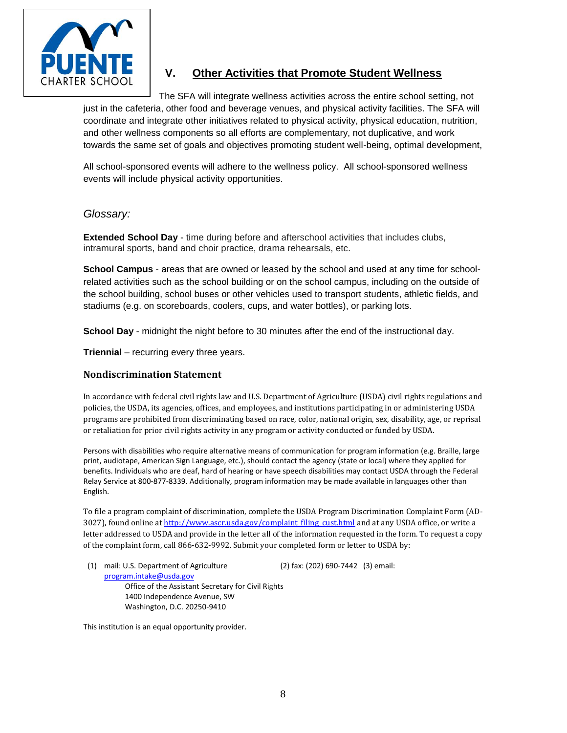

## <span id="page-7-1"></span><span id="page-7-0"></span>**V. Other Activities that Promote Student Wellness**

The SFA will integrate wellness activities across the entire school setting, not just in the cafeteria, other food and beverage venues, and physical activity facilities. The SFA will coordinate and integrate other initiatives related to physical activity, physical education, nutrition, and other wellness components so all efforts are complementary, not duplicative, and work towards the same set of goals and objectives promoting student well-being, optimal development,

All school-sponsored events will adhere to the wellness policy. All school-sponsored wellness events will include physical activity opportunities.

#### *Glossary:*

**Extended School Day** - time during before and afterschool activities that includes clubs, intramural sports, band and choir practice, drama rehearsals, etc.

**School Campus** - areas that are owned or leased by the school and used at any time for schoolrelated activities such as the school building or on the school campus, including on the outside of the school building, school buses or other vehicles used to transport students, athletic fields, and stadiums (e.g. on scoreboards, coolers, cups, and water bottles), or parking lots.

**School Day** - midnight the night before to 30 minutes after the end of the instructional day.

**Triennial** – recurring every three years.

#### **Nondiscrimination Statement**

In accordance with federal civil rights law and U.S. Department of Agriculture (USDA) civil rights regulations and policies, the USDA, its agencies, offices, and employees, and institutions participating in or administering USDA programs are prohibited from discriminating based on race, color, national origin, sex, disability, age, or reprisal or retaliation for prior civil rights activity in any program or activity conducted or funded by USDA.

Persons with disabilities who require alternative means of communication for program information (e.g. Braille, large print, audiotape, American Sign Language, etc.), should contact the agency (state or local) where they applied for benefits. Individuals who are deaf, hard of hearing or have speech disabilities may contact USDA through the Federal Relay Service at 800-877-8339. Additionally, program information may be made available in languages other than English.

To file a program complaint of discrimination, complete the USDA Program Discrimination Complaint Form (AD3027), found online a[t http://www.ascr.usda.gov/complaint\\_filing\\_cust.html](http://www.ascr.usda.gov/complaint_filing_cust.html) and at any USDA office, or write a letter addressed to USDA and provide in the letter all of the information requested in the form. To request a copy of the complaint form, call 866-632-9992. Submit your completed form or letter to USDA by:

(1) mail: U.S. Department of Agriculture (2) fax: (202) 690-7442 (3) email: [program.intake@usda.gov](mailto:program.intake@usda.gov) Office of the Assistant Secretary for Civil Rights 1400 Independence Avenue, SW Washington, D.C. 20250-9410

This institution is an equal opportunity provider.